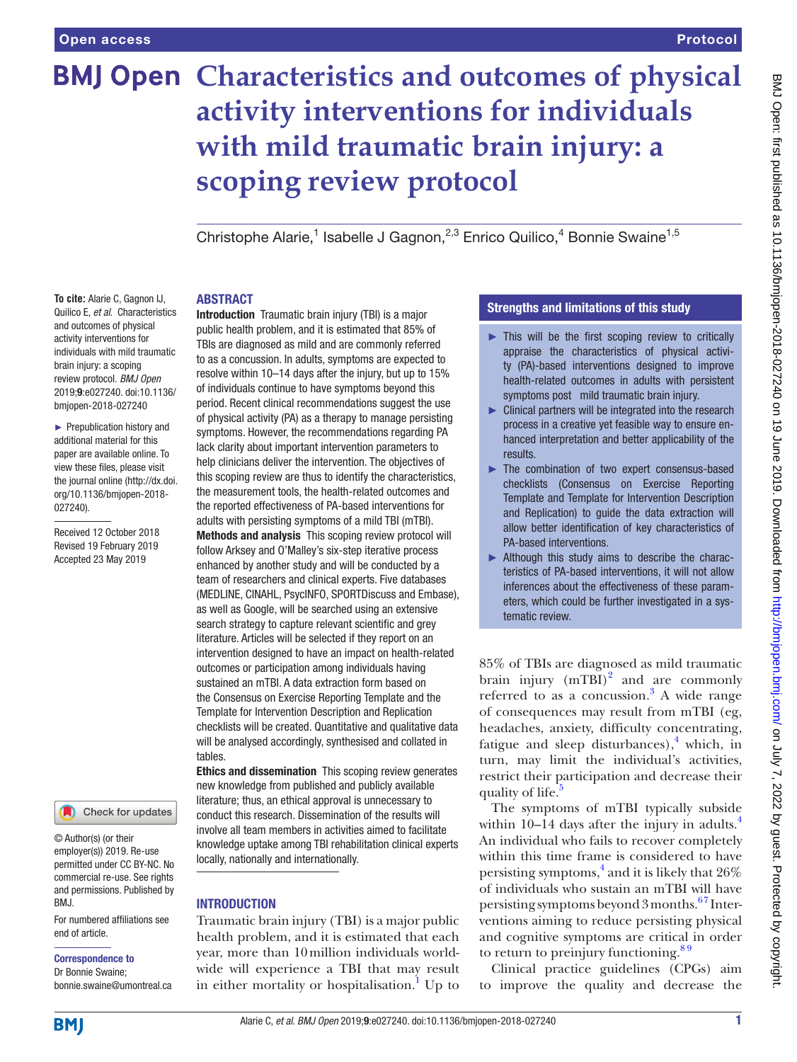# **BMJ Open Characteristics and outcomes of physical activity interventions for individuals with mild traumatic brain injury: a scoping review protocol**

Christophe Alarie,<sup>1</sup> Isabelle J Gagnon,<sup>2,3</sup> Enrico Quilico,<sup>4</sup> Bonnie Swaine<sup>1,5</sup>

#### **ABSTRACT**

**To cite:** Alarie C, Gagnon IJ, Quilico E, *et al*. Characteristics and outcomes of physical activity interventions for individuals with mild traumatic brain injury: a scoping review protocol. *BMJ Open* 2019;9:e027240. doi:10.1136/ bmjopen-2018-027240

► Prepublication history and additional material for this paper are available online. To view these files, please visit the journal online [\(http://dx.doi.](http://dx.doi.org/10.1136/bmjopen-2018-027240) [org/10.1136/bmjopen-2018-](http://dx.doi.org/10.1136/bmjopen-2018-027240) [027240\)](http://dx.doi.org/10.1136/bmjopen-2018-027240).

Received 12 October 2018 Revised 19 February 2019 Accepted 23 May 2019



© Author(s) (or their employer(s)) 2019. Re-use permitted under CC BY-NC. No commercial re-use. See rights and permissions. Published by BMJ.

For numbered affiliations see end of article.

#### Correspondence to

Dr Bonnie Swaine; bonnie.swaine@umontreal.ca

Introduction Traumatic brain injury (TBI) is a major public health problem, and it is estimated that 85% of TBIs are diagnosed as mild and are commonly referred to as a concussion. In adults, symptoms are expected to resolve within 10–14 days after the injury, but up to 15% of individuals continue to have symptoms beyond this period. Recent clinical recommendations suggest the use of physical activity (PA) as a therapy to manage persisting symptoms. However, the recommendations regarding PA lack clarity about important intervention parameters to help clinicians deliver the intervention. The objectives of this scoping review are thus to identify the characteristics, the measurement tools, the health-related outcomes and the reported effectiveness of PA-based interventions for adults with persisting symptoms of a mild TBI (mTBI). Methods and analysis This scoping review protocol will follow Arksey and O'Malley's six-step iterative process enhanced by another study and will be conducted by a team of researchers and clinical experts. Five databases (MEDLINE, CINAHL, PsycINFO, SPORTDiscuss and Embase), as well as Google, will be searched using an extensive search strategy to capture relevant scientific and grey literature. Articles will be selected if they report on an intervention designed to have an impact on health-related outcomes or participation among individuals having sustained an mTBI. A data extraction form based on the Consensus on Exercise Reporting Template and the Template for Intervention Description and Replication checklists will be created. Quantitative and qualitative data will be analysed accordingly, synthesised and collated in tables.

Ethics and dissemination This scoping review generates new knowledge from published and publicly available literature; thus, an ethical approval is unnecessary to conduct this research. Dissemination of the results will involve all team members in activities aimed to facilitate knowledge uptake among TBI rehabilitation clinical experts locally, nationally and internationally.

# **INTRODUCTION**

Traumatic brain injury (TBI) is a major public health problem, and it is estimated that each year, more than 10million individuals worldwide will experience a TBI that may result in either mortality or hospitalisation.<sup>[1](#page-4-0)</sup> Up to

# Strengths and limitations of this study

- ► This will be the first scoping review to critically appraise the characteristics of physical activity (PA)-based interventions designed to improve health-related outcomes in adults with persistent symptoms post mild traumatic brain injury.
- ► Clinical partners will be integrated into the research process in a creative yet feasible way to ensure enhanced interpretation and better applicability of the results.
- ► The combination of two expert consensus-based checklists (Consensus on Exercise Reporting Template and Template for Intervention Description and Replication) to guide the data extraction will allow better identification of key characteristics of PA-based interventions.
- ► Although this study aims to describe the characteristics of PA-based interventions, it will not allow inferences about the effectiveness of these parameters, which could be further investigated in a systematic review.

85% of TBIs are diagnosed as mild traumatic brain injury  $(mTBI)^2$  $(mTBI)^2$  and are commonly referred to as a concussion. $3$  A wide range of consequences may result from mTBI (eg, headaches, anxiety, difficulty concentrating, fatigue and sleep disturbances),<sup>4</sup> which, in turn, may limit the individual's activities, restrict their participation and decrease their quality of life.<sup>[5](#page-4-4)</sup>

The symptoms of mTBI typically subside within 10–1[4](#page-4-3) days after the injury in adults. $4$ An individual who fails to recover completely within this time frame is considered to have persisting symptoms,<sup>[4](#page-4-3)</sup> and it is likely that 26% of individuals who sustain an mTBI will have persisting symptoms beyond 3 months. $67$  Interventions aiming to reduce persisting physical and cognitive symptoms are critical in order to return to preinjury functioning.<sup>89</sup>

Clinical practice guidelines (CPGs) aim to improve the quality and decrease the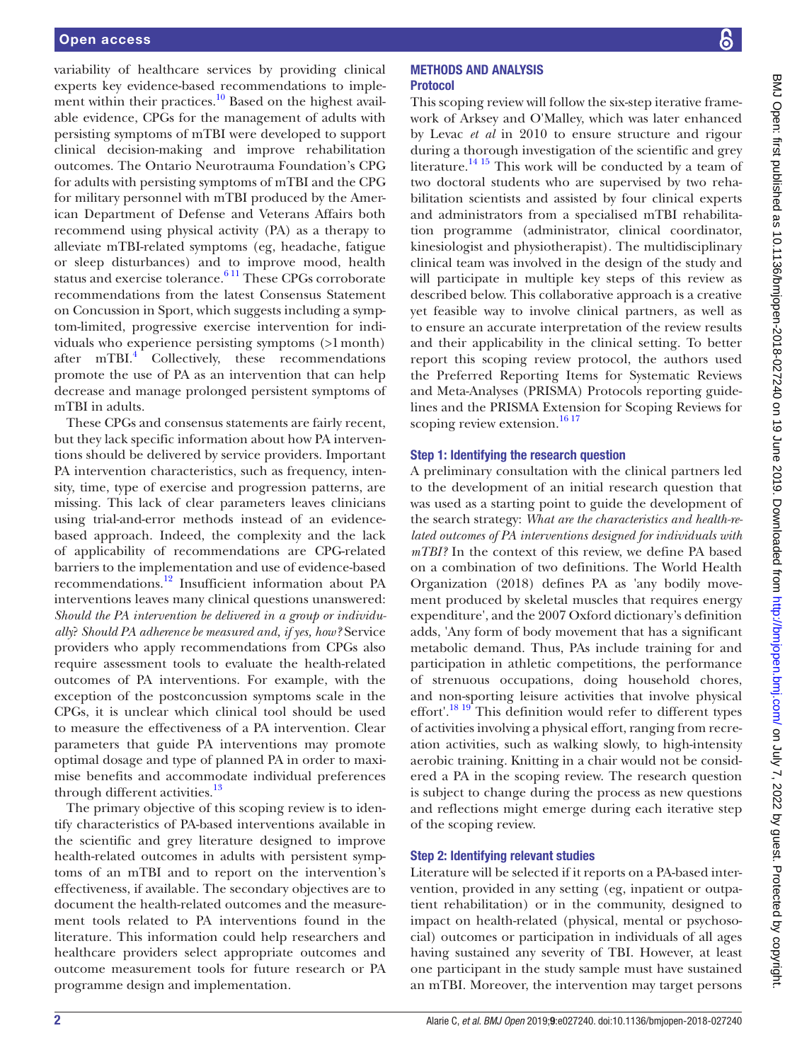variability of healthcare services by providing clinical experts key evidence-based recommendations to implement within their practices. $10$  Based on the highest available evidence, CPGs for the management of adults with persisting symptoms of mTBI were developed to support clinical decision-making and improve rehabilitation outcomes. The Ontario Neurotrauma Foundation's CPG for adults with persisting symptoms of mTBI and the CPG for military personnel with mTBI produced by the American Department of Defense and Veterans Affairs both recommend using physical activity (PA) as a therapy to alleviate mTBI-related symptoms (eg, headache, fatigue or sleep disturbances) and to improve mood, health status and exercise tolerance.<sup>611</sup> These CPGs corroborate recommendations from the latest Consensus Statement on Concussion in Sport, which suggests including a symptom-limited, progressive exercise intervention for individuals who experience persisting symptoms (>1month) after mTBI.<sup>4</sup> Collectively, these recommendations promote the use of PA as an intervention that can help decrease and manage prolonged persistent symptoms of mTBI in adults.

These CPGs and consensus statements are fairly recent, but they lack specific information about how PA interventions should be delivered by service providers. Important PA intervention characteristics, such as frequency, intensity, time, type of exercise and progression patterns, are missing. This lack of clear parameters leaves clinicians using trial-and-error methods instead of an evidencebased approach. Indeed, the complexity and the lack of applicability of recommendations are CPG-related barriers to the implementation and use of evidence-based recommendations[.12](#page-4-8) Insufficient information about PA interventions leaves many clinical questions unanswered: *Should the PA intervention be delivered in a group or individually*? *Should PA adherence be measured and, if yes, how?* Service providers who apply recommendations from CPGs also require assessment tools to evaluate the health-related outcomes of PA interventions. For example, with the exception of the postconcussion symptoms scale in the CPGs, it is unclear which clinical tool should be used to measure the effectiveness of a PA intervention. Clear parameters that guide PA interventions may promote optimal dosage and type of planned PA in order to maximise benefits and accommodate individual preferences through different activities.<sup>13</sup>

The primary objective of this scoping review is to identify characteristics of PA-based interventions available in the scientific and grey literature designed to improve health-related outcomes in adults with persistent symptoms of an mTBI and to report on the intervention's effectiveness, if available. The secondary objectives are to document the health-related outcomes and the measurement tools related to PA interventions found in the literature. This information could help researchers and healthcare providers select appropriate outcomes and outcome measurement tools for future research or PA programme design and implementation.

#### Methods and analysis Protocol

This scoping review will follow the six-step iterative framework of Arksey and O'Malley, which was later enhanced by Levac *et al* in 2010 to ensure structure and rigour during a thorough investigation of the scientific and grey literature[.14 15](#page-4-10) This work will be conducted by a team of two doctoral students who are supervised by two rehabilitation scientists and assisted by four clinical experts and administrators from a specialised mTBI rehabilitation programme (administrator, clinical coordinator, kinesiologist and physiotherapist). The multidisciplinary clinical team was involved in the design of the study and will participate in multiple key steps of this review as described below. This collaborative approach is a creative yet feasible way to involve clinical partners, as well as to ensure an accurate interpretation of the review results and their applicability in the clinical setting. To better report this scoping review protocol, the authors used the Preferred Reporting Items for Systematic Reviews and Meta-Analyses (PRISMA) Protocols reporting guidelines and the PRISMA Extension for Scoping Reviews for scoping review extension.<sup>[16 17](#page-4-11)</sup>

# Step 1: Identifying the research question

A preliminary consultation with the clinical partners led to the development of an initial research question that was used as a starting point to guide the development of the search strategy: *What are the characteristics and health-related outcomes of PA interventions designed for individuals with mTBI?* In the context of this review, we define PA based on a combination of two definitions. The World Health Organization (2018) defines PA as 'any bodily movement produced by skeletal muscles that requires energy expenditure', and the 2007 Oxford dictionary's definition adds, 'Any form of body movement that has a significant metabolic demand. Thus, PAs include training for and participation in athletic competitions, the performance of strenuous occupations, doing household chores, and non-sporting leisure activities that involve physical effort'.<sup>18 19</sup> This definition would refer to different types of activities involving a physical effort, ranging from recreation activities, such as walking slowly, to high-intensity aerobic training. Knitting in a chair would not be considered a PA in the scoping review. The research question is subject to change during the process as new questions and reflections might emerge during each iterative step of the scoping review.

# Step 2: Identifying relevant studies

Literature will be selected if it reports on a PA-based intervention, provided in any setting (eg, inpatient or outpatient rehabilitation) or in the community, designed to impact on health-related (physical, mental or psychosocial) outcomes or participation in individuals of all ages having sustained any severity of TBI. However, at least one participant in the study sample must have sustained an mTBI. Moreover, the intervention may target persons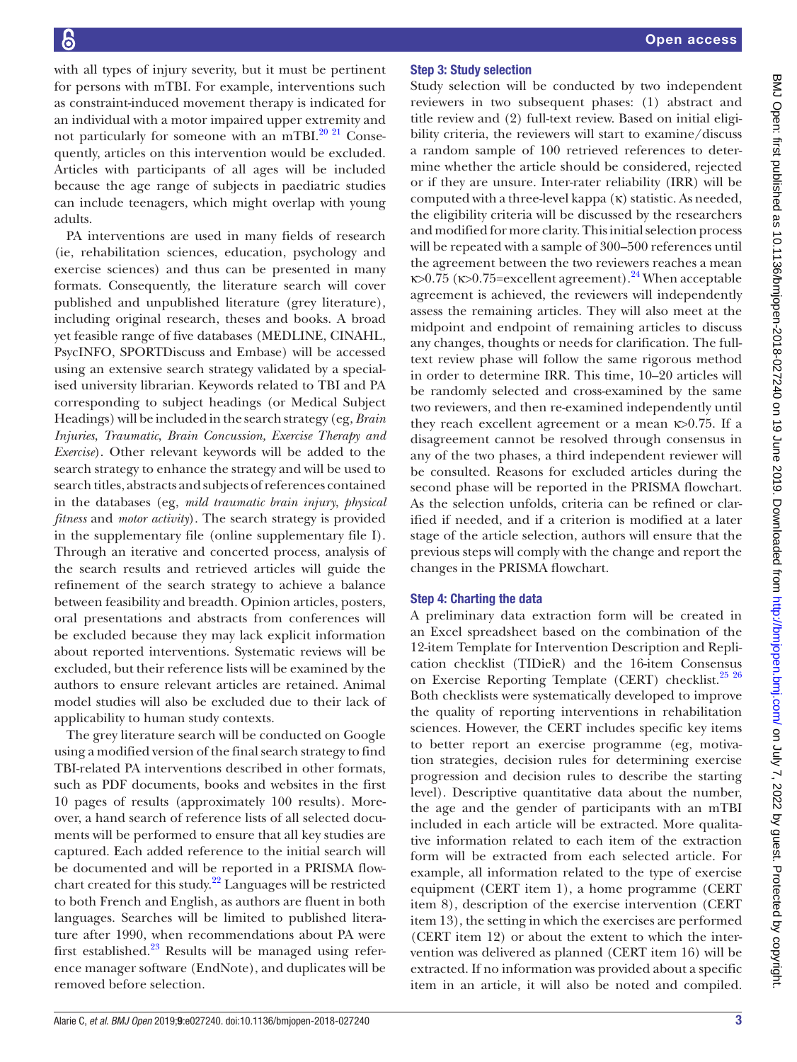with all types of injury severity, but it must be pertinent for persons with mTBI. For example, interventions such as constraint-induced movement therapy is indicated for an individual with a motor impaired upper extremity and not particularly for someone with an mTBI.<sup>20</sup> <sup>21</sup> Consequently, articles on this intervention would be excluded. Articles with participants of all ages will be included because the age range of subjects in paediatric studies can include teenagers, which might overlap with young adults.

PA interventions are used in many fields of research (ie, rehabilitation sciences, education, psychology and exercise sciences) and thus can be presented in many formats. Consequently, the literature search will cover published and unpublished literature (grey literature), including original research, theses and books. A broad yet feasible range of five databases (MEDLINE, CINAHL, PsycINFO, SPORTDiscuss and Embase) will be accessed using an extensive search strategy validated by a specialised university librarian. Keywords related to TBI and PA corresponding to subject headings (or Medical Subject Headings) will be included in the search strategy (eg, *Brain Injuries*, *Traumatic*, *Brain Concussion, Exercise Therapy and Exercise*). Other relevant keywords will be added to the search strategy to enhance the strategy and will be used to search titles, abstracts and subjects of references contained in the databases (eg, *mild traumatic brain injury*, *physical fitness* and *motor activity*). The search strategy is provided in the supplementary file (online [supplementary file I](https://dx.doi.org/10.1136/bmjopen-2018-027240)). Through an iterative and concerted process, analysis of the search results and retrieved articles will guide the refinement of the search strategy to achieve a balance between feasibility and breadth. Opinion articles, posters, oral presentations and abstracts from conferences will be excluded because they may lack explicit information about reported interventions. Systematic reviews will be excluded, but their reference lists will be examined by the authors to ensure relevant articles are retained. Animal model studies will also be excluded due to their lack of applicability to human study contexts.

The grey literature search will be conducted on Google using a modified version of the final search strategy to find TBI-related PA interventions described in other formats, such as PDF documents, books and websites in the first 10 pages of results (approximately 100 results). Moreover, a hand search of reference lists of all selected documents will be performed to ensure that all key studies are captured. Each added reference to the initial search will be documented and will be reported in a PRISMA flowchart created for this study[.22](#page-4-14) Languages will be restricted to both French and English, as authors are fluent in both languages. Searches will be limited to published literature after 1990, when recommendations about PA were first established. $^{23}$  Results will be managed using reference manager software (EndNote), and duplicates will be removed before selection.

# Step 3: Study selection

Study selection will be conducted by two independent reviewers in two subsequent phases: (1) abstract and title review and (2) full-text review. Based on initial eligibility criteria, the reviewers will start to examine/discuss a random sample of 100 retrieved references to determine whether the article should be considered, rejected or if they are unsure. Inter-rater reliability (IRR) will be computed with a three-level kappa (κ) statistic. As needed, the eligibility criteria will be discussed by the researchers and modified for more clarity. This initial selection process will be repeated with a sample of 300–500 references until the agreement between the two reviewers reaches a mean κ $> 0.75$  (κ $> 0.75$ = excellent agreement).<sup>24</sup> When acceptable agreement is achieved, the reviewers will independently assess the remaining articles. They will also meet at the midpoint and endpoint of remaining articles to discuss any changes, thoughts or needs for clarification. The fulltext review phase will follow the same rigorous method in order to determine IRR. This time, 10–20 articles will be randomly selected and cross-examined by the same two reviewers, and then re-examined independently until they reach excellent agreement or a mean  $\kappa$  > 0.75. If a disagreement cannot be resolved through consensus in any of the two phases, a third independent reviewer will be consulted. Reasons for excluded articles during the second phase will be reported in the PRISMA flowchart. As the selection unfolds, criteria can be refined or clarified if needed, and if a criterion is modified at a later stage of the article selection, authors will ensure that the previous steps will comply with the change and report the changes in the PRISMA flowchart.

# Step 4: Charting the data

A preliminary data extraction form will be created in an Excel spreadsheet based on the combination of the 12-item Template for Intervention Description and Replication checklist (TIDieR) and the 16-item Consensus on Exercise Reporting Template (CERT) checklist.<sup>25</sup> 26 Both checklists were systematically developed to improve the quality of reporting interventions in rehabilitation sciences. However, the CERT includes specific key items to better report an exercise programme (eg, motivation strategies, decision rules for determining exercise progression and decision rules to describe the starting level). Descriptive quantitative data about the number, the age and the gender of participants with an mTBI included in each article will be extracted. More qualitative information related to each item of the extraction form will be extracted from each selected article. For example, all information related to the type of exercise equipment (CERT item 1), a home programme (CERT item 8), description of the exercise intervention (CERT item 13), the setting in which the exercises are performed (CERT item 12) or about the extent to which the intervention was delivered as planned (CERT item 16) will be extracted. If no information was provided about a specific item in an article, it will also be noted and compiled.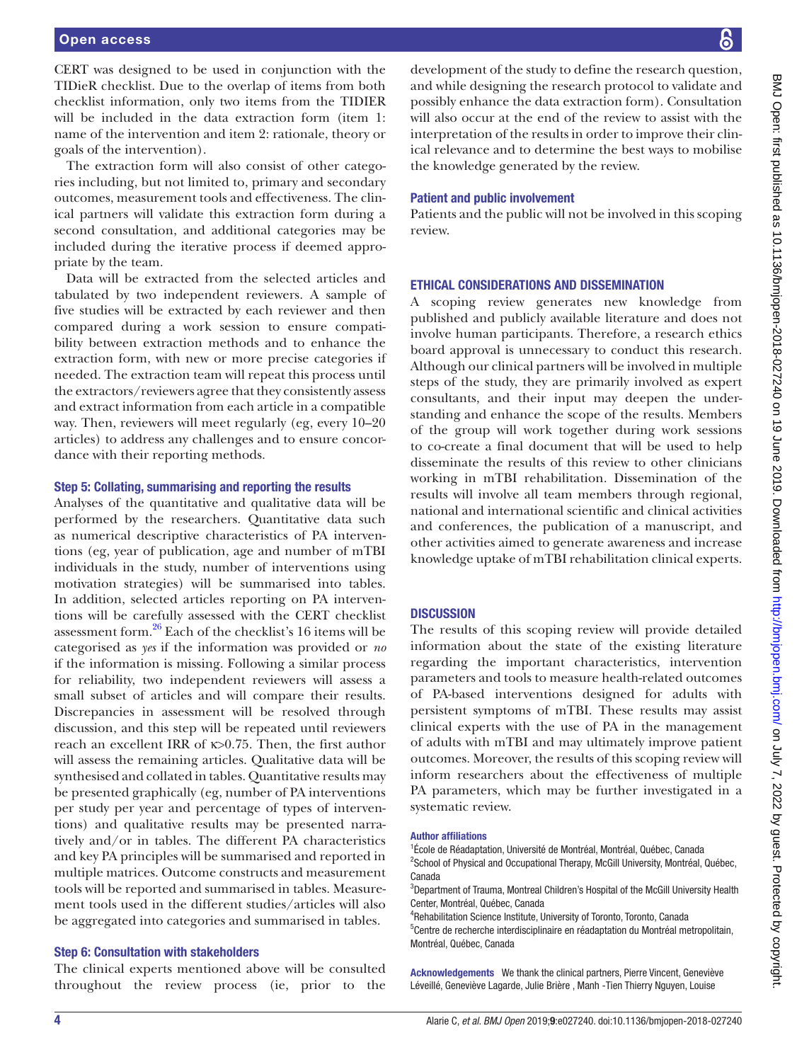CERT was designed to be used in conjunction with the TIDieR checklist. Due to the overlap of items from both checklist information, only two items from the TIDIER will be included in the data extraction form (item 1: name of the intervention and item 2: rationale, theory or goals of the intervention).

The extraction form will also consist of other categories including, but not limited to, primary and secondary outcomes, measurement tools and effectiveness. The clinical partners will validate this extraction form during a second consultation, and additional categories may be included during the iterative process if deemed appropriate by the team.

Data will be extracted from the selected articles and tabulated by two independent reviewers. A sample of five studies will be extracted by each reviewer and then compared during a work session to ensure compatibility between extraction methods and to enhance the extraction form, with new or more precise categories if needed. The extraction team will repeat this process until the extractors/reviewers agree that they consistently assess and extract information from each article in a compatible way. Then, reviewers will meet regularly (eg, every 10–20 articles) to address any challenges and to ensure concordance with their reporting methods.

#### Step 5: Collating, summarising and reporting the results

Analyses of the quantitative and qualitative data will be performed by the researchers. Quantitative data such as numerical descriptive characteristics of PA interventions (eg, year of publication, age and number of mTBI individuals in the study, number of interventions using motivation strategies) will be summarised into tables. In addition, selected articles reporting on PA interventions will be carefully assessed with the CERT checklist assessment form.[26](#page-4-18) Each of the checklist's 16 items will be categorised as *yes* if the information was provided or *no* if the information is missing. Following a similar process for reliability, two independent reviewers will assess a small subset of articles and will compare their results. Discrepancies in assessment will be resolved through discussion, and this step will be repeated until reviewers reach an excellent IRR of κ>0.75. Then, the first author will assess the remaining articles. Qualitative data will be synthesised and collated in tables. Quantitative results may be presented graphically (eg, number of PA interventions per study per year and percentage of types of interventions) and qualitative results may be presented narratively and/or in tables. The different PA characteristics and key PA principles will be summarised and reported in multiple matrices. Outcome constructs and measurement tools will be reported and summarised in tables. Measurement tools used in the different studies/articles will also be aggregated into categories and summarised in tables.

#### Step 6: Consultation with stakeholders

The clinical experts mentioned above will be consulted throughout the review process (ie, prior to the

development of the study to define the research question, and while designing the research protocol to validate and possibly enhance the data extraction form). Consultation will also occur at the end of the review to assist with the interpretation of the results in order to improve their clinical relevance and to determine the best ways to mobilise the knowledge generated by the review.

# Patient and public involvement

Patients and the public will not be involved in this scoping review.

#### Ethical considerations and dissemination

A scoping review generates new knowledge from published and publicly available literature and does not involve human participants. Therefore, a research ethics board approval is unnecessary to conduct this research. Although our clinical partners will be involved in multiple steps of the study, they are primarily involved as expert consultants, and their input may deepen the understanding and enhance the scope of the results. Members of the group will work together during work sessions to co-create a final document that will be used to help disseminate the results of this review to other clinicians working in mTBI rehabilitation. Dissemination of the results will involve all team members through regional, national and international scientific and clinical activities and conferences, the publication of a manuscript, and other activities aimed to generate awareness and increase knowledge uptake of mTBI rehabilitation clinical experts.

# **DISCUSSION**

The results of this scoping review will provide detailed information about the state of the existing literature regarding the important characteristics, intervention parameters and tools to measure health-related outcomes of PA-based interventions designed for adults with persistent symptoms of mTBI. These results may assist clinical experts with the use of PA in the management of adults with mTBI and may ultimately improve patient outcomes. Moreover, the results of this scoping review will inform researchers about the effectiveness of multiple PA parameters, which may be further investigated in a systematic review.

#### Author affiliations

<sup>1</sup>École de Réadaptation, Université de Montréal, Montréal, Québec, Canada <sup>2</sup>School of Physical and Occupational Therapy, McGill University, Montréal, Québec, Canada

<sup>3</sup>Department of Trauma, Montreal Children's Hospital of the McGill University Health Center, Montréal, Québec, Canada

4 Rehabilitation Science Institute, University of Toronto, Toronto, Canada

<sup>5</sup>Centre de recherche interdisciplinaire en réadaptation du Montréal metropolitain, Montréal, Québec, Canada

Acknowledgements We thank the clinical partners, Pierre Vincent, Geneviève Léveillé, Geneviève Lagarde, Julie Brière , Manh -Tien Thierry Nguyen, Louise